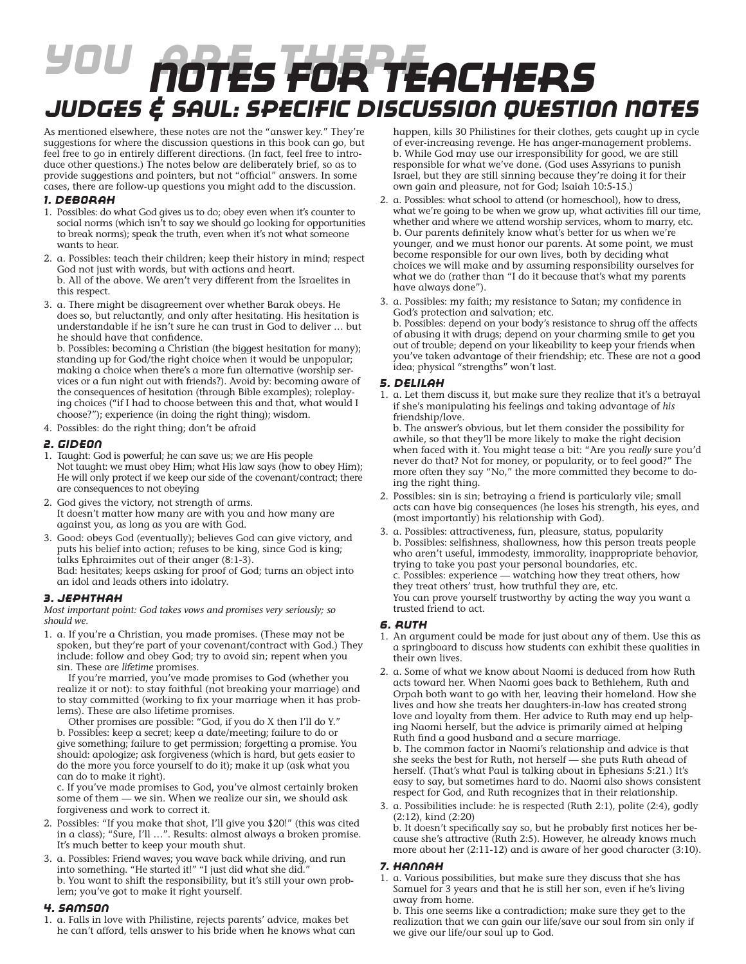# *You Are There Notes for teachers Judges & Saul: Specific Discussion Question Notes*

As mentioned elsewhere, these notes are not the "answer key." They're suggestions for where the discussion questions in this book can go, but feel free to go in entirely different directions. (In fact, feel free to introduce other questions.) The notes below are deliberately brief, so as to provide suggestions and pointers, but not "official" answers. In some cases, there are follow-up questions you might add to the discussion.

#### *1. Deborah*

- 1. Possibles: do what God gives us to do; obey even when it's counter to social norms (which isn<sup>7</sup>t to say we should go looking for opportunities to break norms); speak the truth, even when it's not what someone wants to hear.
- 2. a. Possibles: teach their children; keep their history in mind; respect God not just with words, but with actions and heart. b. All of the above. We aren't very different from the Israelites in this respect.
- 3. a. There might be disagreement over whether Barak obeys. He does so, but reluctantly, and only after hesitating. His hesitation is understandable if he isn't sure he can trust in God to deliver … but he should have that confidence.

b. Possibles: becoming a Christian (the biggest hesitation for many); standing up for God/the right choice when it would be unpopular; making a choice when there's a more fun alternative (worship services or a fun night out with friends?). Avoid by: becoming aware of the consequences of hesitation (through Bible examples); roleplaying choices ("if I had to choose between this and that, what would I choose?"); experience (in doing the right thing); wisdom.

4. Possibles: do the right thing; don't be afraid

## *2. Gideon*

- 1. Taught: God is powerful; he can save us; we are His people Not taught: we must obey Him; what His law says (how to obey Him); He will only protect if we keep our side of the covenant/contract; there are consequences to not obeying
- 2. God gives the victory, not strength of arms. It doesn't matter how many are with you and how many are against you, as long as you are with God.
- 3. Good: obeys God (eventually); believes God can give victory, and puts his belief into action; refuses to be king, since God is king; talks Ephraimites out of their anger (8:1-3). Bad: hesitates; keeps asking for proof of God; turns an object into

an idol and leads others into idolatry.

## *3. Jephthah*

*Most important point: God takes vows and promises very seriously; so should we.*

1. a. If you're a Christian, you made promises. (These may not be spoken, but they're part of your covenant/contract with God.) They include: follow and obey God; try to avoid sin; repent when you sin. These are *lifetime* promises.

 If you're married, you've made promises to God (whether you realize it or not): to stay faithful (not breaking your marriage) and to stay committed (working to fix your marriage when it has problems). These are also lifetime promises.

 Other promises are possible: "God, if you do X then I'll do Y." b. Possibles: keep a secret; keep a date/meeting; failure to do or give something; failure to get permission; forgetting a promise. You should: apologize; ask forgiveness (which is hard, but gets easier to do the more you force yourself to do it); make it up (ask what you can do to make it right).

c. If you've made promises to God, you've almost certainly broken some of them — we sin. When we realize our sin, we should ask forgiveness and work to correct it.

- 2. Possibles: "If you make that shot, I'll give you \$20!" (this was cited in a class); "Sure, I'll …". Results: almost always a broken promise. It's much better to keep your mouth shut.
- 3. a. Possibles: Friend waves; you wave back while driving, and run into something. "He started it!" "I just did what she did." b. You want to shift the responsibility, but it's still your own problem; you've got to make it right yourself.

## *4. Samson*

1. a. Falls in love with Philistine, rejects parents' advice, makes bet he can't afford, tells answer to his bride when he knows what can happen, kills 30 Philistines for their clothes, gets caught up in cycle of ever-increasing revenge. He has anger-management problems. b. While God may use our irresponsibility for good, we are still responsible for what we've done. (God uses Assyrians to punish Israel, but they are still sinning because they're doing it for their own gain and pleasure, not for God; Isaiah 10:5-15.)

- 2. a. Possibles: what school to attend (or homeschool), how to dress, what we're going to be when we grow up, what activities fill our time, whether and where we attend worship services, whom to marry, etc. b. Our parents definitely know what's better for us when we're younger, and we must honor our parents. At some point, we must become responsible for our own lives, both by deciding what choices we will make and by assuming responsibility ourselves for what we do (rather than "I do it because that's what my parents have always done").
- 3. a. Possibles: my faith; my resistance to Satan; my confidence in God's protection and salvation; etc. b. Possibles: depend on your body's resistance to shrug off the affects of abusing it with drugs; depend on your charming smile to get you out of trouble; depend on your likeability to keep your friends when you've taken advantage of their friendship; etc. These are not a good idea; physical "strengths" won't last.

## *5. Delilah*

1. a. Let them discuss it, but make sure they realize that it's a betrayal if she's manipulating his feelings and taking advantage of *his* friendship/love.

b. The answer's obvious, but let them consider the possibility for awhile, so that they'll be more likely to make the right decision when faced with it. You might tease a bit: "Are you *really* sure you'd never do that? Not for money, or popularity, or to feel good?" The more often they say "No," the more committed they become to doing the right thing.

- 2. Possibles: sin is sin; betraying a friend is particularly vile; small acts can have big consequences (he loses his strength, his eyes, and (most importantly) his relationship with God).
- 3. a. Possibles: attractiveness, fun, pleasure, status, popularity b. Possibles: selfishness, shallowness, how this person treats people who aren't useful, immodesty, immorality, inappropriate behavior, trying to take you past your personal boundaries, etc. c. Possibles: experience — watching how they treat others, how they treat others' trust, how truthful they are, etc. You can prove yourself trustworthy by acting the way you want a trusted friend to act.

## *6. Ruth*

- 1. An argument could be made for just about any of them. Use this as a springboard to discuss how students can exhibit these qualities in their own lives.
- 2. a. Some of what we know about Naomi is deduced from how Ruth acts toward her. When Naomi goes back to Bethlehem, Ruth and Orpah both want to go with her, leaving their homeland. How she lives and how she treats her daughters-in-law has created strong love and loyalty from them. Her advice to Ruth may end up helping Naomi herself, but the advice is primarily aimed at helping Ruth find a good husband and a secure marriage. b. The common factor in Naomi's relationship and advice is that she seeks the best for Ruth, not herself — she puts Ruth ahead of herself. (That's what Paul is talking about in Ephesians 5:21.) It's easy to say, but sometimes hard to do. Naomi also shows consistent respect for God, and Ruth recognizes that in their relationship.
- 3. a. Possibilities include: he is respected (Ruth 2:1), polite (2:4), godly (2:12), kind (2:20)

b. It doesn't specifically say so, but he probably first notices her because she's attractive (Ruth 2:5). However, he already knows much more about her (2:11-12) and is aware of her good character (3:10).

## *7. Hannah*

1. a. Various possibilities, but make sure they discuss that she has Samuel for 3 years and that he is still her son, even if he's living away from home.

b. This one seems like a contradiction; make sure they get to the realization that we can gain our life/save our soul from sin only if we give our life/our soul up to God.